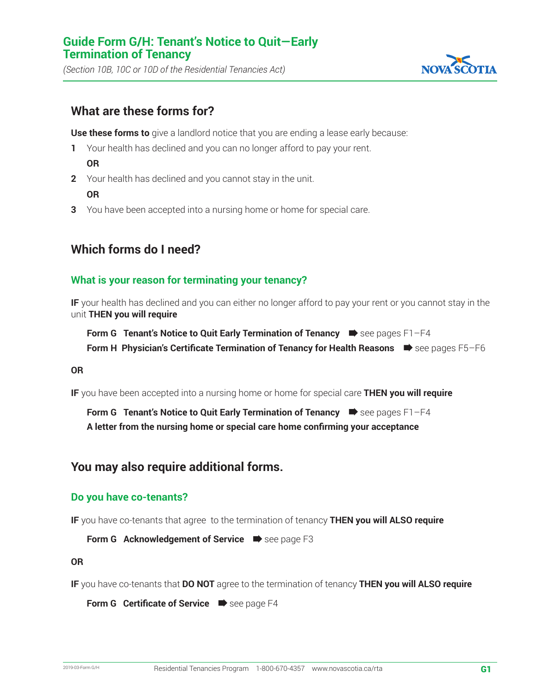*(Section 10B, 10C or 10D of the Residential Tenancies Act)*



## **What are these forms for?**

**Use these forms to** give a landlord notice that you are ending a lease early because:

- **1** Your health has declined and you can no longer afford to pay your rent. **OR**
- **2** Your health has declined and you cannot stay in the unit. **OR**
- **3** You have been accepted into a nursing home or home for special care.

## **Which forms do I need?**

#### **What is your reason for terminating your tenancy?**

**IF** your health has declined and you can either no longer afford to pay your rent or you cannot stay in the unit **THEN you will require**

**Form G Tenant's Notice to Quit Early Termination of Tenancy**  $\Rightarrow$  **see pages F1-F4 Form H Physician's Certificate Termination of Tenancy for Health Reasons**  $\bullet$  see pages F5–F6

#### **OR**

**IF** you have been accepted into a nursing home or home for special care **THEN you will require**

**Form G** Tenant's Notice to Quit Early Termination of Tenancy  $\blacksquare$  see pages F1-F4 **A letter from the nursing home or special care home confirming your acceptance**

### **You may also require additional forms.**

#### **Do you have co-tenants?**

**IF** you have co-tenants that agree to the termination of tenancy **THEN you will ALSO require**

Form G Acknowledgement of Service **D** see page F3

**OR**

**IF** you have co-tenants that **DO NOT** agree to the termination of tenancy **THEN you will ALSO require**

**Form G Certificate of Service**  $\Rightarrow$  see page F4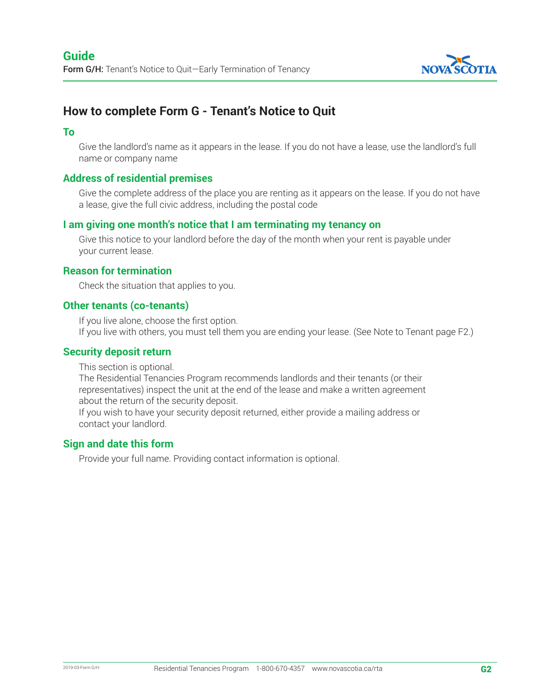

# **How to complete Form G - Tenant's Notice to Quit**

#### **To**

Give the landlord's name as it appears in the lease. If you do not have a lease, use the landlord's full name or company name

#### **Address of residential premises**

Give the complete address of the place you are renting as it appears on the lease. If you do not have a lease, give the full civic address, including the postal code

#### **I am giving one month's notice that I am terminating my tenancy on**

Give this notice to your landlord before the day of the month when your rent is payable under your current lease.

#### **Reason for termination**

Check the situation that applies to you.

#### **Other tenants (co-tenants)**

If you live alone, choose the first option. If you live with others, you must tell them you are ending your lease. (See Note to Tenant page F2.)

#### **Security deposit return**

This section is optional.

The Residential Tenancies Program recommends landlords and their tenants (or their representatives) inspect the unit at the end of the lease and make a written agreement about the return of the security deposit.

If you wish to have your security deposit returned, either provide a mailing address or contact your landlord.

#### **Sign and date this form**

Provide your full name. Providing contact information is optional.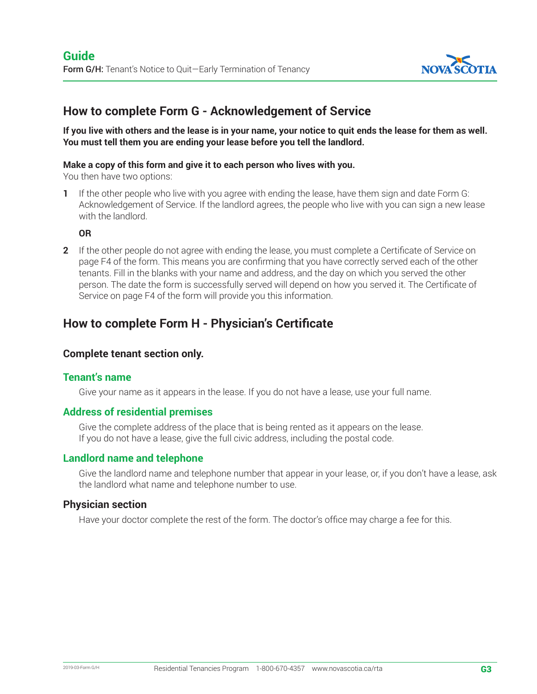

## **How to complete Form G - Acknowledgement of Service**

**If you live with others and the lease is in your name, your notice to quit ends the lease for them as well. You must tell them you are ending your lease before you tell the landlord.**

#### **Make a copy of this form and give it to each person who lives with you.**

You then have two options:

**1** If the other people who live with you agree with ending the lease, have them sign and date Form G: Acknowledgement of Service. If the landlord agrees, the people who live with you can sign a new lease with the landlord.

#### **OR**

**2** If the other people do not agree with ending the lease, you must complete a Certificate of Service on page F4 of the form. This means you are confirming that you have correctly served each of the other tenants. Fill in the blanks with your name and address, and the day on which you served the other person. The date the form is successfully served will depend on how you served it. The Certificate of Service on page F4 of the form will provide you this information.

## **How to complete Form H - Physician's Certificate**

#### **Complete tenant section only.**

#### **Tenant's name**

Give your name as it appears in the lease. If you do not have a lease, use your full name.

#### **Address of residential premises**

Give the complete address of the place that is being rented as it appears on the lease. If you do not have a lease, give the full civic address, including the postal code.

#### **Landlord name and telephone**

Give the landlord name and telephone number that appear in your lease, or, if you don't have a lease, ask the landlord what name and telephone number to use.

#### **Physician section**

Have your doctor complete the rest of the form. The doctor's office may charge a fee for this.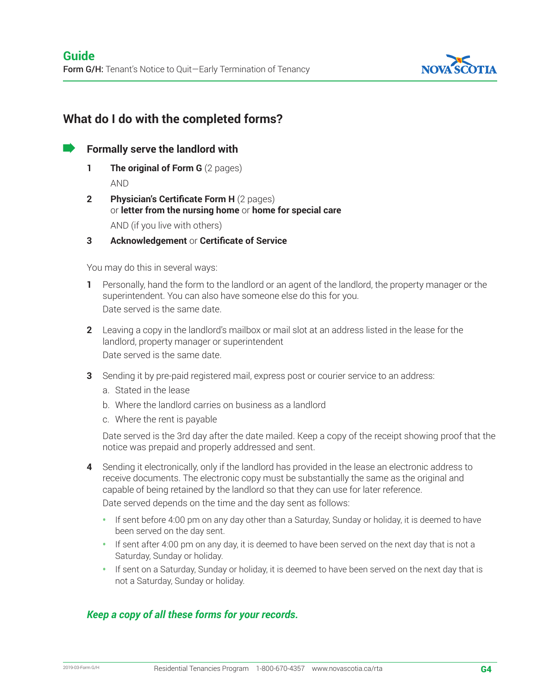

# **What do I do with the completed forms?**

 **Formally serve the landlord with** 

- **1 The original of Form G** (2 pages) AND
- **2 Physician's Certificate Form H** (2 pages) or **letter from the nursing home** or **home for special care** AND (if you live with others)
- **3 Acknowledgement** or **Certificate of Service**

You may do this in several ways:

- **1** Personally, hand the form to the landlord or an agent of the landlord, the property manager or the superintendent. You can also have someone else do this for you. Date served is the same date.
- **2** Leaving a copy in the landlord's mailbox or mail slot at an address listed in the lease for the landlord, property manager or superintendent Date served is the same date.
- **3** Sending it by pre-paid registered mail, express post or courier service to an address:
	- a. Stated in the lease
	- b. Where the landlord carries on business as a landlord
	- c. Where the rent is payable

Date served is the 3rd day after the date mailed. Keep a copy of the receipt showing proof that the notice was prepaid and properly addressed and sent.

- **4** Sending it electronically, only if the landlord has provided in the lease an electronic address to receive documents. The electronic copy must be substantially the same as the original and capable of being retained by the landlord so that they can use for later reference. Date served depends on the time and the day sent as follows:
	- If sent before 4:00 pm on any day other than a Saturday, Sunday or holiday, it is deemed to have been served on the day sent.
	- If sent after 4:00 pm on any day, it is deemed to have been served on the next day that is not a Saturday, Sunday or holiday.
	- If sent on a Saturday, Sunday or holiday, it is deemed to have been served on the next day that is not a Saturday, Sunday or holiday.

#### *Keep a copy of all these forms for your records.*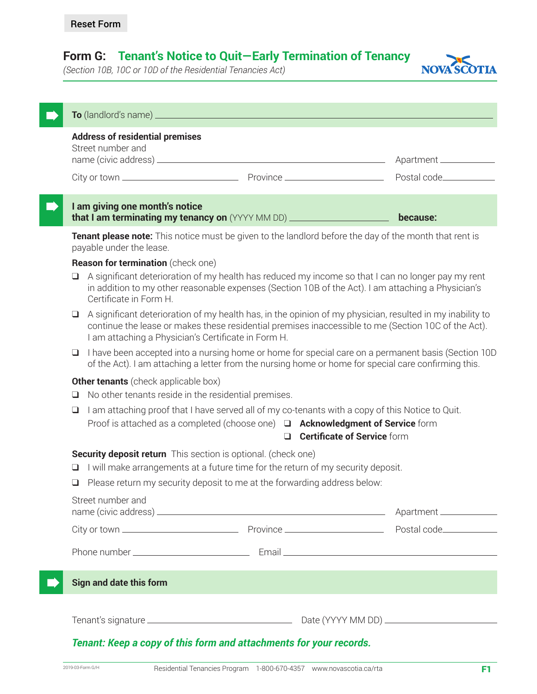# **Form G: Tenant's Notice to Quit—Early Termination of Tenancy**

*(Section 10B, 10C or 10D of the Residential Tenancies Act)*



| Street number and                                                                                                                                                                                                     | <b>Address of residential premises</b>                                                                                                                                                                                                 |                                                                                                                                                                                                                                                                         | Apartment _____________  |
|-----------------------------------------------------------------------------------------------------------------------------------------------------------------------------------------------------------------------|----------------------------------------------------------------------------------------------------------------------------------------------------------------------------------------------------------------------------------------|-------------------------------------------------------------------------------------------------------------------------------------------------------------------------------------------------------------------------------------------------------------------------|--------------------------|
|                                                                                                                                                                                                                       |                                                                                                                                                                                                                                        |                                                                                                                                                                                                                                                                         | Postal code____________  |
|                                                                                                                                                                                                                       | I am giving one month's notice                                                                                                                                                                                                         | that I am terminating my tenancy on (YYYY MM DD) _____________________                                                                                                                                                                                                  | because:                 |
| payable under the lease.                                                                                                                                                                                              |                                                                                                                                                                                                                                        | Tenant please note: This notice must be given to the landlord before the day of the month that rent is                                                                                                                                                                  |                          |
| Q.<br>Certificate in Form H.                                                                                                                                                                                          | <b>Reason for termination</b> (check one)                                                                                                                                                                                              | A significant deterioration of my health has reduced my income so that I can no longer pay my rent<br>in addition to my other reasonable expenses (Section 10B of the Act). I am attaching a Physician's                                                                |                          |
| $\Box$                                                                                                                                                                                                                |                                                                                                                                                                                                                                        | A significant deterioration of my health has, in the opinion of my physician, resulted in my inability to<br>continue the lease or makes these residential premises inaccessible to me (Section 10C of the Act).<br>I am attaching a Physician's Certificate in Form H. |                          |
| I have been accepted into a nursing home or home for special care on a permanent basis (Section 10D<br>$\Box$<br>of the Act). I am attaching a letter from the nursing home or home for special care confirming this. |                                                                                                                                                                                                                                        |                                                                                                                                                                                                                                                                         |                          |
| $\Box$                                                                                                                                                                                                                | <b>Other tenants</b> (check applicable box)                                                                                                                                                                                            | No other tenants reside in the residential premises.                                                                                                                                                                                                                    |                          |
| ❏                                                                                                                                                                                                                     | I am attaching proof that I have served all of my co-tenants with a copy of this Notice to Quit.<br>Proof is attached as a completed (choose one) $\Box$ <b>Acknowledgment of Service</b> form<br><b>Q Certificate of Service</b> form |                                                                                                                                                                                                                                                                         |                          |
| u.<br>$\Box$                                                                                                                                                                                                          |                                                                                                                                                                                                                                        | <b>Security deposit return</b> This section is optional. (check one)<br>I will make arrangements at a future time for the return of my security deposit.<br>Please return my security deposit to me at the forwarding address below:                                    |                          |
| Street number and                                                                                                                                                                                                     |                                                                                                                                                                                                                                        |                                                                                                                                                                                                                                                                         | Apartment ______________ |
|                                                                                                                                                                                                                       |                                                                                                                                                                                                                                        |                                                                                                                                                                                                                                                                         |                          |
|                                                                                                                                                                                                                       |                                                                                                                                                                                                                                        |                                                                                                                                                                                                                                                                         |                          |
| Sign and date this form                                                                                                                                                                                               |                                                                                                                                                                                                                                        |                                                                                                                                                                                                                                                                         |                          |
|                                                                                                                                                                                                                       |                                                                                                                                                                                                                                        |                                                                                                                                                                                                                                                                         |                          |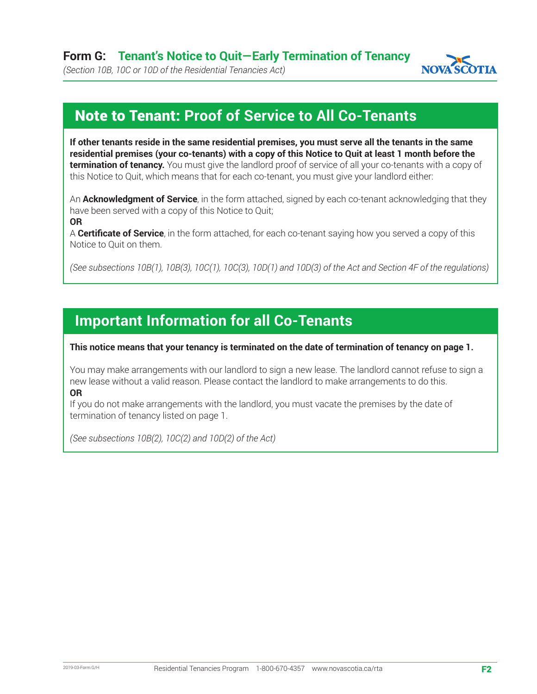

*(Section 10B, 10C or 10D of the Residential Tenancies Act)*

# Note to Tenant: **Proof of Service to All Co-Tenants**

**If other tenants reside in the same residential premises, you must serve all the tenants in the same residential premises (your co-tenants) with a copy of this Notice to Quit at least 1 month before the termination of tenancy.** You must give the landlord proof of service of all your co-tenants with a copy of this Notice to Quit, which means that for each co-tenant, you must give your landlord either:

An **Acknowledgment of Service**, in the form attached, signed by each co-tenant acknowledging that they have been served with a copy of this Notice to Quit; **OR**

A **Certificate of Service**, in the form attached, for each co-tenant saying how you served a copy of this

Notice to Quit on them.

*(See subsections 10B(1), 10B(3), 10C(1), 10C(3), 10D(1) and 10D(3) of the Act and Section 4F of the regulations)*

# **Important Information for all Co-Tenants**

**This notice means that your tenancy is terminated on the date of termination of tenancy on page 1.**

You may make arrangements with our landlord to sign a new lease. The landlord cannot refuse to sign a new lease without a valid reason. Please contact the landlord to make arrangements to do this. **OR**

If you do not make arrangements with the landlord, you must vacate the premises by the date of termination of tenancy listed on page 1.

*(See subsections 10B(2), 10C(2) and 10D(2) of the Act)*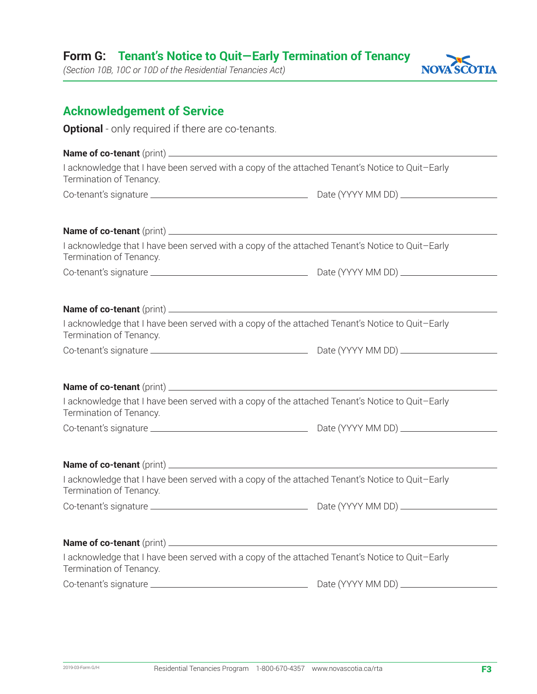# **Form G: Tenant's Notice to Quit—Early Termination of Tenancy**

*(Section 10B, 10C or 10D of the Residential Tenancies Act)*



## **Acknowledgement of Service**

**Optional** - only required if there are co-tenants.

| I acknowledge that I have been served with a copy of the attached Tenant's Notice to Quit-Early<br>Termination of Tenancy. |  |  |  |  |
|----------------------------------------------------------------------------------------------------------------------------|--|--|--|--|
|                                                                                                                            |  |  |  |  |
|                                                                                                                            |  |  |  |  |
|                                                                                                                            |  |  |  |  |
| I acknowledge that I have been served with a copy of the attached Tenant's Notice to Quit-Early<br>Termination of Tenancy. |  |  |  |  |
|                                                                                                                            |  |  |  |  |
|                                                                                                                            |  |  |  |  |
| I acknowledge that I have been served with a copy of the attached Tenant's Notice to Quit-Early                            |  |  |  |  |
| Termination of Tenancy.                                                                                                    |  |  |  |  |
|                                                                                                                            |  |  |  |  |
|                                                                                                                            |  |  |  |  |
|                                                                                                                            |  |  |  |  |
| I acknowledge that I have been served with a copy of the attached Tenant's Notice to Quit-Early<br>Termination of Tenancy. |  |  |  |  |
|                                                                                                                            |  |  |  |  |
|                                                                                                                            |  |  |  |  |
|                                                                                                                            |  |  |  |  |
| I acknowledge that I have been served with a copy of the attached Tenant's Notice to Quit-Early<br>Termination of Tenancy. |  |  |  |  |
|                                                                                                                            |  |  |  |  |
|                                                                                                                            |  |  |  |  |
|                                                                                                                            |  |  |  |  |
| I acknowledge that I have been served with a copy of the attached Tenant's Notice to Quit-Early<br>Termination of Tenancy. |  |  |  |  |
|                                                                                                                            |  |  |  |  |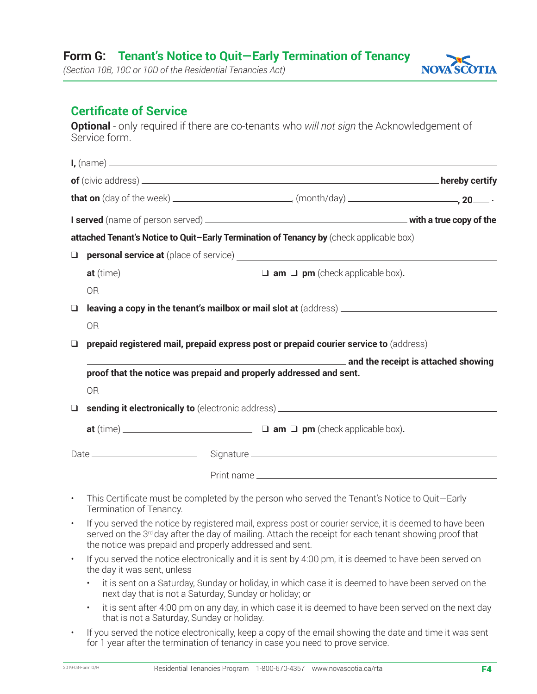## **Form G: Tenant's Notice to Quit—Early Termination of Tenancy**

*(Section 10B, 10C or 10D of the Residential Tenancies Act)*

# NOVA SCOTIA

# **Certificate of Service**

**Optional** - only required if there are co-tenants who *will not sign* the Acknowledgement of Service form.

|           |                                                                                                                                                                                                                                                                             | $I,$ (name) $\overline{\phantom{a}}$                                                                                                                                                                                                                                    |  |  |  |
|-----------|-----------------------------------------------------------------------------------------------------------------------------------------------------------------------------------------------------------------------------------------------------------------------------|-------------------------------------------------------------------------------------------------------------------------------------------------------------------------------------------------------------------------------------------------------------------------|--|--|--|
|           |                                                                                                                                                                                                                                                                             |                                                                                                                                                                                                                                                                         |  |  |  |
|           |                                                                                                                                                                                                                                                                             |                                                                                                                                                                                                                                                                         |  |  |  |
|           |                                                                                                                                                                                                                                                                             |                                                                                                                                                                                                                                                                         |  |  |  |
|           |                                                                                                                                                                                                                                                                             | attached Tenant's Notice to Quit-Early Termination of Tenancy by (check applicable box)                                                                                                                                                                                 |  |  |  |
| $\Box$    |                                                                                                                                                                                                                                                                             |                                                                                                                                                                                                                                                                         |  |  |  |
|           |                                                                                                                                                                                                                                                                             |                                                                                                                                                                                                                                                                         |  |  |  |
|           | <b>OR</b>                                                                                                                                                                                                                                                                   |                                                                                                                                                                                                                                                                         |  |  |  |
| $\Box$    |                                                                                                                                                                                                                                                                             | <b>leaving a copy in the tenant's mailbox or mail slot at</b> (address) <b>and the control of the control of the control of the control of the control of the control of the control of the control of the control of the control of </b>                               |  |  |  |
|           | <b>OR</b>                                                                                                                                                                                                                                                                   |                                                                                                                                                                                                                                                                         |  |  |  |
| ❏         |                                                                                                                                                                                                                                                                             | prepaid registered mail, prepaid express post or prepaid courier service to (address)                                                                                                                                                                                   |  |  |  |
|           |                                                                                                                                                                                                                                                                             |                                                                                                                                                                                                                                                                         |  |  |  |
|           | proof that the notice was prepaid and properly addressed and sent.                                                                                                                                                                                                          |                                                                                                                                                                                                                                                                         |  |  |  |
|           | <b>OR</b>                                                                                                                                                                                                                                                                   |                                                                                                                                                                                                                                                                         |  |  |  |
| $\Box$    |                                                                                                                                                                                                                                                                             |                                                                                                                                                                                                                                                                         |  |  |  |
|           |                                                                                                                                                                                                                                                                             |                                                                                                                                                                                                                                                                         |  |  |  |
|           |                                                                                                                                                                                                                                                                             |                                                                                                                                                                                                                                                                         |  |  |  |
|           |                                                                                                                                                                                                                                                                             |                                                                                                                                                                                                                                                                         |  |  |  |
| $\bullet$ | This Certificate must be completed by the person who served the Tenant's Notice to Quit-Early<br>Termination of Tenancy.                                                                                                                                                    |                                                                                                                                                                                                                                                                         |  |  |  |
| $\bullet$ | If you served the notice by registered mail, express post or courier service, it is deemed to have been<br>served on the 3rd day after the day of mailing. Attach the receipt for each tenant showing proof that<br>the notice was prepaid and properly addressed and sent. |                                                                                                                                                                                                                                                                         |  |  |  |
| $\bullet$ | the day it was sent, unless                                                                                                                                                                                                                                                 | If you served the notice electronically and it is sent by 4:00 pm, it is deemed to have been served on                                                                                                                                                                  |  |  |  |
|           | next day that is not a Saturday, Sunday or holiday; or                                                                                                                                                                                                                      | it is sent on a Saturday, Sunday or holiday, in which case it is deemed to have been served on the                                                                                                                                                                      |  |  |  |
|           |                                                                                                                                                                                                                                                                             | $\mathbb{R}^n$ and $\mathbb{R}^n$ and $\mathbb{R}^n$ are the set of $\mathbb{R}^n$ and $\mathbb{R}^n$ are the set of $\mathbb{R}^n$ and $\mathbb{R}^n$ are the set of $\mathbb{R}^n$ and $\mathbb{R}^n$ are the set of $\mathbb{R}^n$ and $\mathbb{R}^n$ are the set of |  |  |  |

- it is sent after 4:00 pm on any day, in which case it is deemed to have been served on the next day that is not a Saturday, Sunday or holiday.
- If you served the notice electronically, keep a copy of the email showing the date and time it was sent for 1 year after the termination of tenancy in case you need to prove service.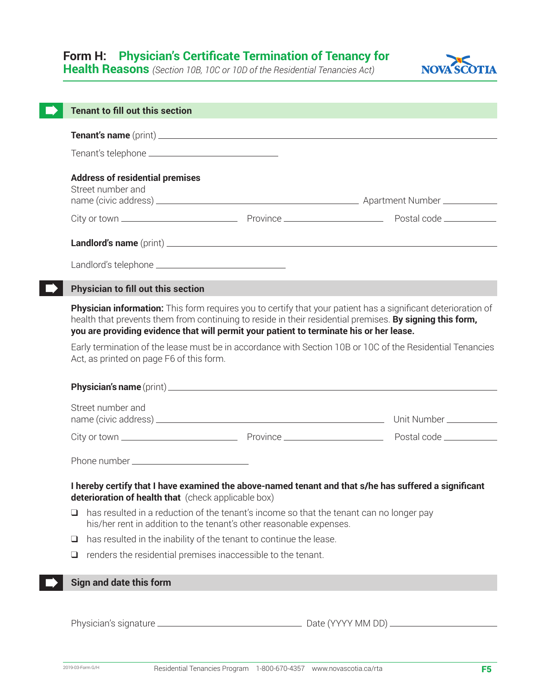# **Form H: Physician's Certificate Termination of Tenancy for**

**Health Reasons** *(Section 10B, 10C or 10D of the Residential Tenancies Act)*



| <b>Tenant to fill out this section</b>                                  |                                                                                                                                                                |                                                                                                                                                                                                                                  |  |  |  |
|-------------------------------------------------------------------------|----------------------------------------------------------------------------------------------------------------------------------------------------------------|----------------------------------------------------------------------------------------------------------------------------------------------------------------------------------------------------------------------------------|--|--|--|
|                                                                         |                                                                                                                                                                |                                                                                                                                                                                                                                  |  |  |  |
|                                                                         |                                                                                                                                                                |                                                                                                                                                                                                                                  |  |  |  |
| <b>Address of residential premises</b><br>Street number and             |                                                                                                                                                                |                                                                                                                                                                                                                                  |  |  |  |
|                                                                         |                                                                                                                                                                |                                                                                                                                                                                                                                  |  |  |  |
|                                                                         |                                                                                                                                                                |                                                                                                                                                                                                                                  |  |  |  |
|                                                                         |                                                                                                                                                                |                                                                                                                                                                                                                                  |  |  |  |
| <b>Physician to fill out this section</b>                               |                                                                                                                                                                |                                                                                                                                                                                                                                  |  |  |  |
|                                                                         | you are providing evidence that will permit your patient to terminate his or her lease.                                                                        | <b>Physician information:</b> This form requires you to certify that your patient has a significant deterioration of<br>health that prevents them from continuing to reside in their residential premises. By signing this form, |  |  |  |
|                                                                         | Early termination of the lease must be in accordance with Section 10B or 10C of the Residential Tenancies<br>Act, as printed on page F6 of this form.          |                                                                                                                                                                                                                                  |  |  |  |
|                                                                         |                                                                                                                                                                |                                                                                                                                                                                                                                  |  |  |  |
| Street number and                                                       |                                                                                                                                                                |                                                                                                                                                                                                                                  |  |  |  |
|                                                                         |                                                                                                                                                                |                                                                                                                                                                                                                                  |  |  |  |
|                                                                         |                                                                                                                                                                |                                                                                                                                                                                                                                  |  |  |  |
| deterioration of health that (check applicable box)                     |                                                                                                                                                                | I hereby certify that I have examined the above-named tenant and that s/he has suffered a significant                                                                                                                            |  |  |  |
| ❏                                                                       | has resulted in a reduction of the tenant's income so that the tenant can no longer pay<br>his/her rent in addition to the tenant's other reasonable expenses. |                                                                                                                                                                                                                                  |  |  |  |
| has resulted in the inability of the tenant to continue the lease.<br>❏ |                                                                                                                                                                |                                                                                                                                                                                                                                  |  |  |  |
| renders the residential premises inaccessible to the tenant.<br>⊔       |                                                                                                                                                                |                                                                                                                                                                                                                                  |  |  |  |
| Sign and date this form                                                 |                                                                                                                                                                |                                                                                                                                                                                                                                  |  |  |  |
|                                                                         |                                                                                                                                                                |                                                                                                                                                                                                                                  |  |  |  |
|                                                                         |                                                                                                                                                                |                                                                                                                                                                                                                                  |  |  |  |
|                                                                         |                                                                                                                                                                |                                                                                                                                                                                                                                  |  |  |  |